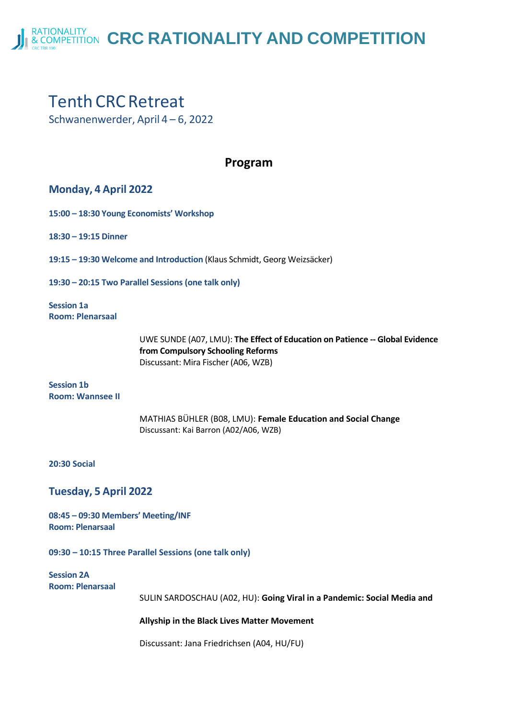**RATIONALITY & COMPETITION** CRC RATIONALITY AND COMPETITION

# **Tenth CRC Retreat**

Schwanenwerder, April 4 – 6, 2022

## **Program**

## **Monday, 4 April 2022**

**15:00 – 18:30 Young Economists' Workshop**

**18:30 – 19:15 Dinner**

**19:15 – 19:30 Welcome and Introduction** (Klaus Schmidt, Georg Weizsäcker)

**19:30 – 20:15 Two Parallel Sessions (one talk only)**

**Session 1a Room: Plenarsaal**

> UWE SUNDE (A07, LMU): **The Effect of Education on Patience -- Global Evidence from Compulsory Schooling Reforms** Discussant: Mira Fischer(A06, WZB)

**Session 1b Room: Wannsee II**

> MATHIAS BÜHLER (B08, LMU): **Female Education and Social Change** Discussant: Kai Barron (A02/A06, WZB)

**20:30 Social**

**Tuesday, 5 April 2022**

**08:45 – 09:30 Members' Meeting/INF Room: Plenarsaal**

**09:30 – 10:15 Three Parallel Sessions (one talk only)** 

**Session 2A Room: Plenarsaal**

SULIN SARDOSCHAU (A02, HU): **Going Viral in a Pandemic: Social Media and** 

**Allyship in the Black Lives Matter Movement**

Discussant: Jana Friedrichsen (A04, HU/FU)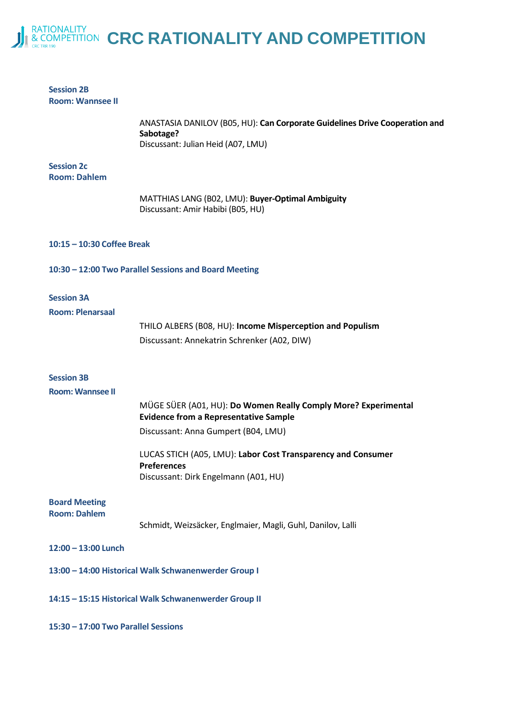

| <b>Session 2B</b><br><b>Room: Wannsee II</b>          |                                                                                                                                |  |
|-------------------------------------------------------|--------------------------------------------------------------------------------------------------------------------------------|--|
|                                                       | ANASTASIA DANILOV (B05, HU): Can Corporate Guidelines Drive Cooperation and<br>Sabotage?<br>Discussant: Julian Heid (A07, LMU) |  |
| <b>Session 2c</b><br><b>Room: Dahlem</b>              |                                                                                                                                |  |
|                                                       |                                                                                                                                |  |
|                                                       | MATTHIAS LANG (B02, LMU): Buyer-Optimal Ambiguity<br>Discussant: Amir Habibi (B05, HU)                                         |  |
| 10:15 - 10:30 Coffee Break                            |                                                                                                                                |  |
|                                                       | 10:30 - 12:00 Two Parallel Sessions and Board Meeting                                                                          |  |
| <b>Session 3A</b><br><b>Room: Plenarsaal</b>          |                                                                                                                                |  |
|                                                       | THILO ALBERS (B08, HU): Income Misperception and Populism                                                                      |  |
|                                                       | Discussant: Annekatrin Schrenker (A02, DIW)                                                                                    |  |
| <b>Session 3B</b>                                     |                                                                                                                                |  |
| <b>Room: Wannsee II</b>                               |                                                                                                                                |  |
|                                                       | MÜGE SÜER (A01, HU): Do Women Really Comply More? Experimental<br><b>Evidence from a Representative Sample</b>                 |  |
|                                                       | Discussant: Anna Gumpert (B04, LMU)                                                                                            |  |
|                                                       | LUCAS STICH (A05, LMU): Labor Cost Transparency and Consumer<br><b>Preferences</b>                                             |  |
|                                                       | Discussant: Dirk Engelmann (A01, HU)                                                                                           |  |
| <b>Board Meeting</b><br><b>Room: Dahlem</b>           |                                                                                                                                |  |
|                                                       | Schmidt, Weizsäcker, Englmaier, Magli, Guhl, Danilov, Lalli                                                                    |  |
| 12:00 - 13:00 Lunch                                   |                                                                                                                                |  |
|                                                       | 13:00 - 14:00 Historical Walk Schwanenwerder Group I                                                                           |  |
| 14:15 - 15:15 Historical Walk Schwanenwerder Group II |                                                                                                                                |  |
| 15:30 - 17:00 Two Parallel Sessions                   |                                                                                                                                |  |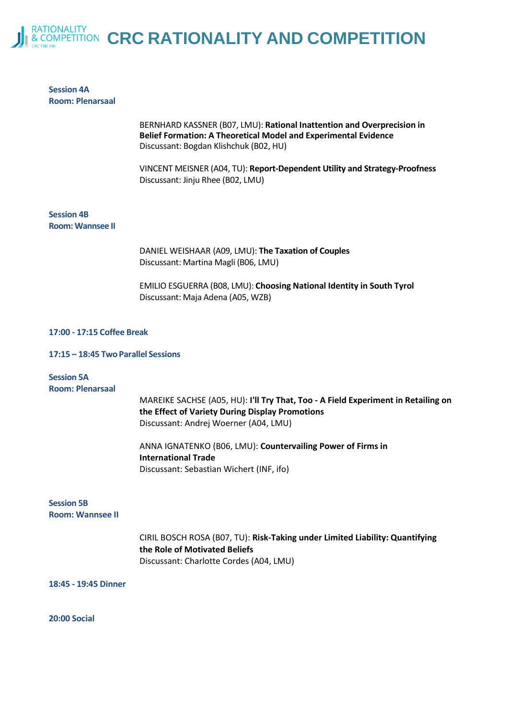

### **Session 4A Room: Plenarsaal**

BERNHARD KASSNER (B07, LMU): **Rational Inattention and Overprecision in Belief Formation: A Theoretical Model and Experimental Evidence** Discussant: Bogdan Klishchuk (B02, HU)

VINCENT MEISNER (A04, TU): **Report-Dependent Utility and Strategy-Proofness** Discussant: Jinju Rhee (B02, LMU)

**Session 4B Room: Wannsee II**

> DANIEL WEISHAAR (A09, LMU): **The Taxation of Couples** Discussant: Martina Magli (B06, LMU)

EMILIO ESGUERRA (B08, LMU): **Choosing National Identity in South Tyrol** Discussant: Maja Adena (A05, WZB)

#### **17:00 - 17:15 Coffee Break**

#### **17:15 – 18:45 Two Parallel Sessions**

| <b>Session 5A</b><br><b>Room: Plenarsaal</b> | MAREIKE SACHSE (A05, HU): I'll Try That, Too - A Field Experiment in Retailing on<br>the Effect of Variety During Display Promotions<br>Discussant: Andrej Woerner (A04, LMU) |
|----------------------------------------------|-------------------------------------------------------------------------------------------------------------------------------------------------------------------------------|
|                                              | ANNA IGNATENKO (B06, LMU): Countervailing Power of Firms in<br><b>International Trade</b><br>Discussant: Sebastian Wichert (INF, ifo)                                         |
| <b>Session 5B</b><br><b>Room: Wannsee II</b> |                                                                                                                                                                               |
|                                              | CIRIL BOSCH ROSA (B07, TU): Risk-Taking under Limited Liability: Quantifying                                                                                                  |

**the Role of Motivated Beliefs** Discussant: Charlotte Cordes (A04, LMU)

**18:45 - 19:45 Dinner**

**20:00 Social**